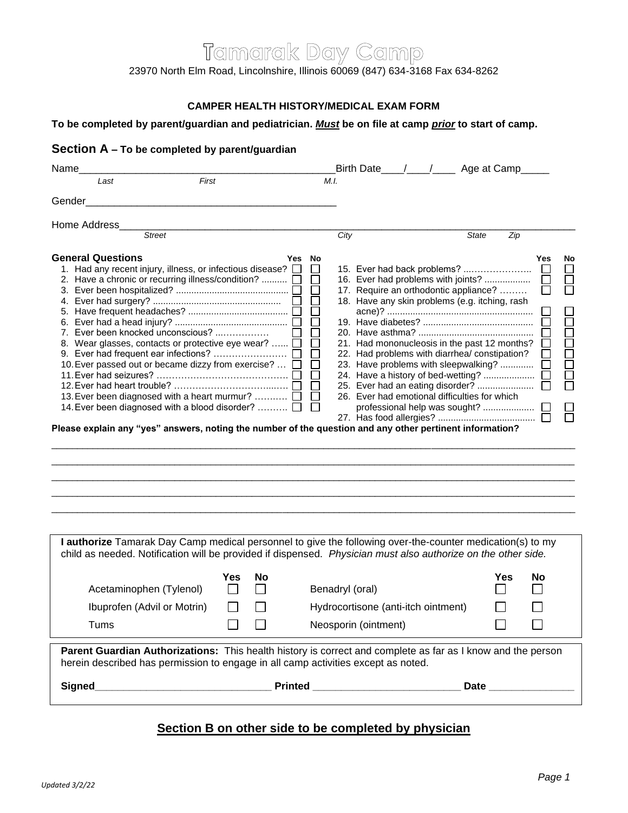#### **CAMPER HEALTH HISTORY/MEDICAL EXAM FORM**

### **To be completed by parent/guardian and pediatrician.** *Must* **be on file at camp** *prior* **to start of camp.**

### **Section A – To be completed by parent/guardian**

| Name                                                                                                                                                                                                                                                                                                                                                                                                                                                                                                                                             |           |                                                         |  | Birth Date 1.1 1.1 Age at Camp                                                                                                                                                                                                                                                                                                                                                                                                                                    |       |     |     |              |  |  |
|--------------------------------------------------------------------------------------------------------------------------------------------------------------------------------------------------------------------------------------------------------------------------------------------------------------------------------------------------------------------------------------------------------------------------------------------------------------------------------------------------------------------------------------------------|-----------|---------------------------------------------------------|--|-------------------------------------------------------------------------------------------------------------------------------------------------------------------------------------------------------------------------------------------------------------------------------------------------------------------------------------------------------------------------------------------------------------------------------------------------------------------|-------|-----|-----|--------------|--|--|
| First<br>Last                                                                                                                                                                                                                                                                                                                                                                                                                                                                                                                                    |           | M.I.                                                    |  |                                                                                                                                                                                                                                                                                                                                                                                                                                                                   |       |     |     |              |  |  |
| Gender                                                                                                                                                                                                                                                                                                                                                                                                                                                                                                                                           |           |                                                         |  |                                                                                                                                                                                                                                                                                                                                                                                                                                                                   |       |     |     |              |  |  |
| Home Address                                                                                                                                                                                                                                                                                                                                                                                                                                                                                                                                     |           |                                                         |  |                                                                                                                                                                                                                                                                                                                                                                                                                                                                   |       |     |     |              |  |  |
| <b>Street</b>                                                                                                                                                                                                                                                                                                                                                                                                                                                                                                                                    |           | City                                                    |  |                                                                                                                                                                                                                                                                                                                                                                                                                                                                   | State | Zip |     |              |  |  |
| <b>General Questions</b><br>1. Had any recent injury, illness, or infectious disease?<br>2. Have a chronic or recurring illness/condition?<br>7. Ever been knocked unconscious?<br>8. Wear glasses, contacts or protective eye wear?<br>9. Ever had frequent ear infections?<br>10. Ever passed out or became dizzy from exercise?<br>13. Ever been diagnosed with a heart murmur?<br>14. Ever been diagnosed with a blood disorder?<br>Please explain any "yes" answers, noting the number of the question and any other pertinent information? | Yes       | No<br>$\mathbb{R}^n$<br>$\Box$<br>П<br>H<br>П<br>$\Box$ |  | 15. Ever had back problems?<br>16. Ever had problems with joints?<br>17. Require an orthodontic appliance?<br>18. Have any skin problems (e.g. itching, rash<br>21. Had mononucleosis in the past 12 months?<br>22. Had problems with diarrhea/ constipation?<br>23. Have problems with sleepwalking?<br>24. Have a history of bed-wetting?<br>25. Ever had an eating disorder?<br>26. Ever had emotional difficulties for which<br>professional help was sought? |       |     | Yes | No<br>Ē<br>匸 |  |  |
| I authorize Tamarak Day Camp medical personnel to give the following over-the-counter medication(s) to my<br>child as needed. Notification will be provided if dispensed. Physician must also authorize on the other side.                                                                                                                                                                                                                                                                                                                       |           |                                                         |  |                                                                                                                                                                                                                                                                                                                                                                                                                                                                   |       |     |     |              |  |  |
| Acetaminophen (Tylenol)                                                                                                                                                                                                                                                                                                                                                                                                                                                                                                                          | Yes<br>No | Benadryl (oral)                                         |  |                                                                                                                                                                                                                                                                                                                                                                                                                                                                   |       | Yes | No  |              |  |  |
| Ibuprofen (Advil or Motrin)                                                                                                                                                                                                                                                                                                                                                                                                                                                                                                                      |           | Hydrocortisone (anti-itch ointment)                     |  |                                                                                                                                                                                                                                                                                                                                                                                                                                                                   |       |     |     |              |  |  |
| Tums                                                                                                                                                                                                                                                                                                                                                                                                                                                                                                                                             |           | Neosporin (ointment)                                    |  |                                                                                                                                                                                                                                                                                                                                                                                                                                                                   |       |     |     |              |  |  |
| Parent Guardian Authorizations: This health history is correct and complete as far as I know and the person<br>herein described has permission to engage in all camp activities except as noted.                                                                                                                                                                                                                                                                                                                                                 |           |                                                         |  |                                                                                                                                                                                                                                                                                                                                                                                                                                                                   |       |     |     |              |  |  |
| Signed                                                                                                                                                                                                                                                                                                                                                                                                                                                                                                                                           |           |                                                         |  |                                                                                                                                                                                                                                                                                                                                                                                                                                                                   | Date  |     |     |              |  |  |

## **Section B on other side to be completed by physician**